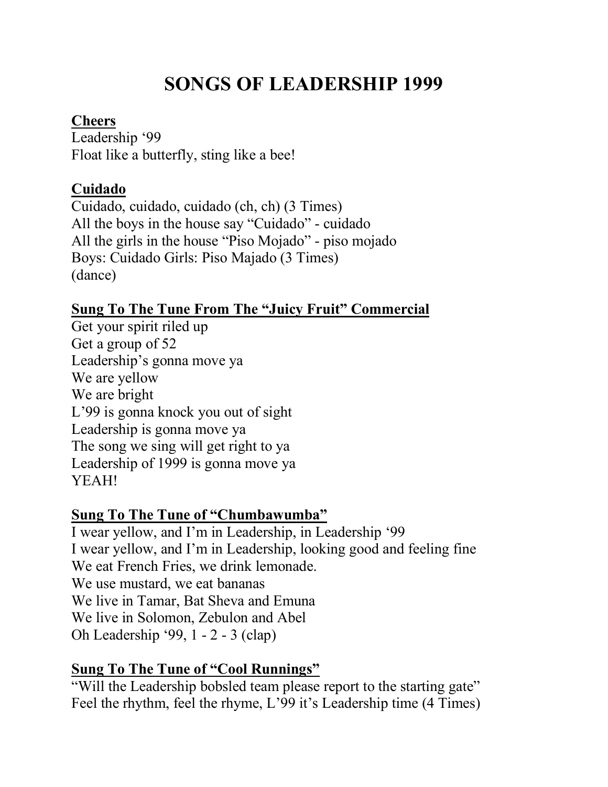# **SONGS OF LEADERSHIP 1999**

# **Cheers**

Leadership '99 Float like a butterfly, sting like a bee!

# **Cuidado**

Cuidado, cuidado, cuidado (ch, ch) (3 Times) All the boys in the house say "Cuidado" - cuidado All the girls in the house "Piso Mojado" - piso mojado Boys: Cuidado Girls: Piso Majado (3 Times) (dance)

# **Sung To The Tune From The "Juicy Fruit" Commercial**

Get your spirit riled up Get a group of 52 Leadership's gonna move ya We are yellow We are bright L'99 is gonna knock you out of sight Leadership is gonna move ya The song we sing will get right to ya Leadership of 1999 is gonna move ya YEAH!

# **Sung To The Tune of "Chumbawumba"**

I wear yellow, and I'm in Leadership, in Leadership '99 I wear yellow, and I'm in Leadership, looking good and feeling fine We eat French Fries, we drink lemonade. We use mustard, we eat bananas We live in Tamar, Bat Sheva and Emuna We live in Solomon, Zebulon and Abel Oh Leadership '99, 1 - 2 - 3 (clap)

# **Sung To The Tune of "Cool Runnings"**

"Will the Leadership bobsled team please report to the starting gate" Feel the rhythm, feel the rhyme, L'99 it's Leadership time (4 Times)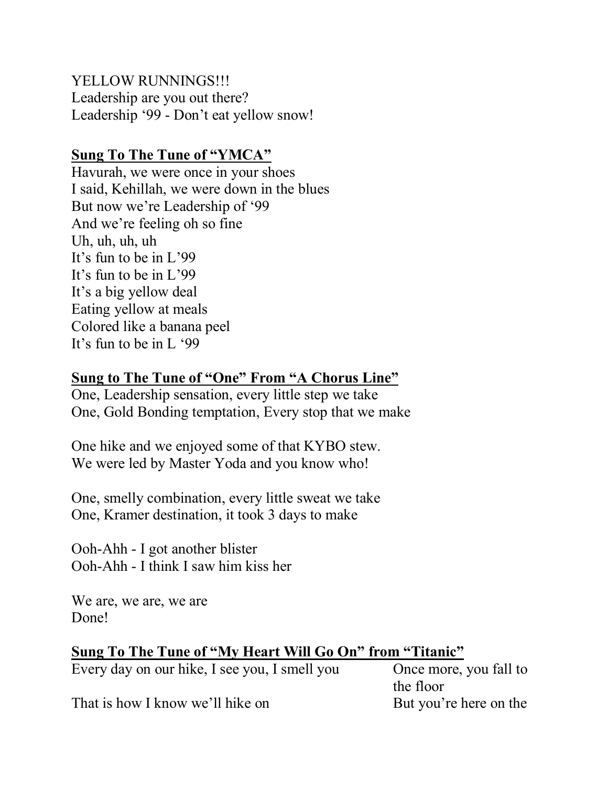YELLOW RUNNINGS!!! Leadership are you out there? Leadership '99 - Don't eat yellow snow!

# **Sung To The Tune of "YMCA"**

Havurah, we were once in your shoes I said, Kehillah, we were down in the blues But now we're Leadership of '99 And we're feeling oh so fine Uh, uh, uh, uh It's fun to be in L'99 It's fun to be in L'99 It's a big yellow deal Eating yellow at meals Colored like a banana peel It's fun to be in L '99

#### **Sung to The Tune of "One" From "A Chorus Line"**

One, Leadership sensation, every little step we take One, Gold Bonding temptation, Every stop that we make

One hike and we enjoyed some of that KYBO stew. We were led by Master Yoda and you know who!

One, smelly combination, every little sweat we take One, Kramer destination, it took 3 days to make

Ooh-Ahh - I got another blister Ooh-Ahh - I think I saw him kiss her

We are, we are, we are Done!

# **Sung To The Tune of "My Heart Will Go On" from "Titanic"**

| Every day on our hike, I see you, I smell you | Once more, you fall to |
|-----------------------------------------------|------------------------|
|                                               | the floor              |
| That is how I know we'll hike on              | But you're here on the |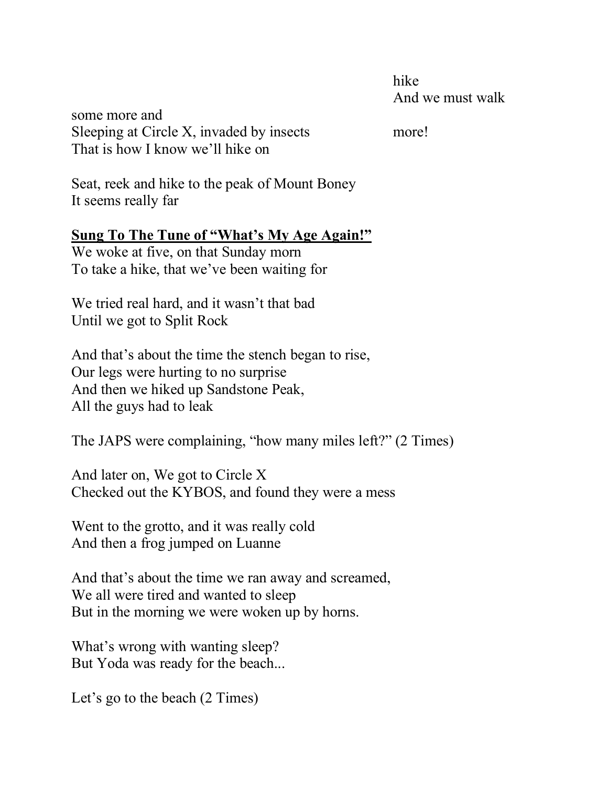hike And we must walk

some more and Sleeping at Circle X, invaded by insects more! That is how I know we'll hike on

Seat, reek and hike to the peak of Mount Boney It seems really far

#### **Sung To The Tune of "What's My Age Again!"**

We woke at five, on that Sunday morn To take a hike, that we've been waiting for

We tried real hard, and it wasn't that bad Until we got to Split Rock

And that's about the time the stench began to rise, Our legs were hurting to no surprise And then we hiked up Sandstone Peak, All the guys had to leak

The JAPS were complaining, "how many miles left?" (2 Times)

And later on, We got to Circle X Checked out the KYBOS, and found they were a mess

Went to the grotto, and it was really cold And then a frog jumped on Luanne

And that's about the time we ran away and screamed, We all were tired and wanted to sleep But in the morning we were woken up by horns.

What's wrong with wanting sleep? But Yoda was ready for the beach...

Let's go to the beach (2 Times)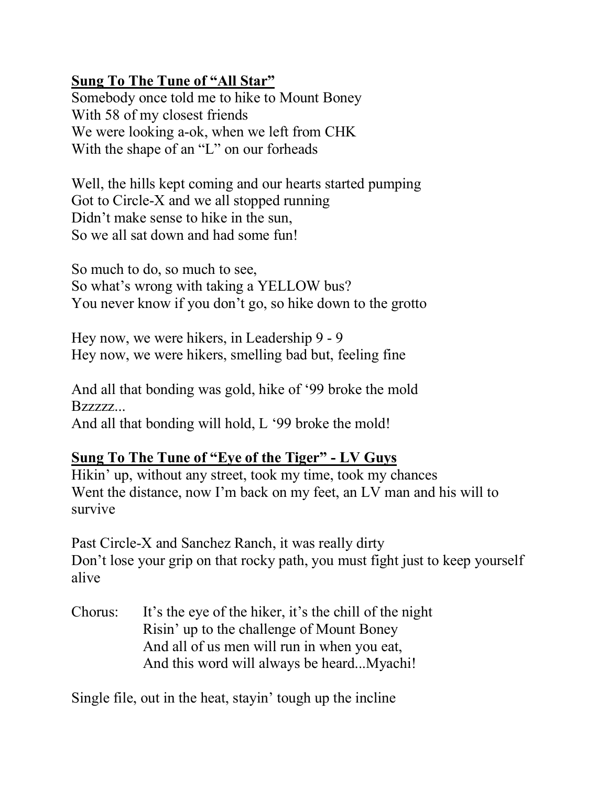# **Sung To The Tune of "All Star"**

Somebody once told me to hike to Mount Boney With 58 of my closest friends We were looking a-ok, when we left from CHK With the shape of an "L" on our forheads

Well, the hills kept coming and our hearts started pumping Got to Circle-X and we all stopped running Didn't make sense to hike in the sun, So we all sat down and had some fun!

So much to do, so much to see, So what's wrong with taking a YELLOW bus? You never know if you don't go, so hike down to the grotto

Hey now, we were hikers, in Leadership 9 - 9 Hey now, we were hikers, smelling bad but, feeling fine

And all that bonding was gold, hike of '99 broke the mold Bzzzzz*z* And all that bonding will hold, L '99 broke the mold!

# **Sung To The Tune of "Eye of the Tiger" - LV Guys**

Hikin' up, without any street, took my time, took my chances Went the distance, now I'm back on my feet, an LV man and his will to survive

Past Circle-X and Sanchez Ranch, it was really dirty Don't lose your grip on that rocky path, you must fight just to keep yourself alive

Chorus: It's the eye of the hiker, it's the chill of the night Risin' up to the challenge of Mount Boney And all of us men will run in when you eat, And this word will always be heard...Myachi!

Single file, out in the heat, stayin' tough up the incline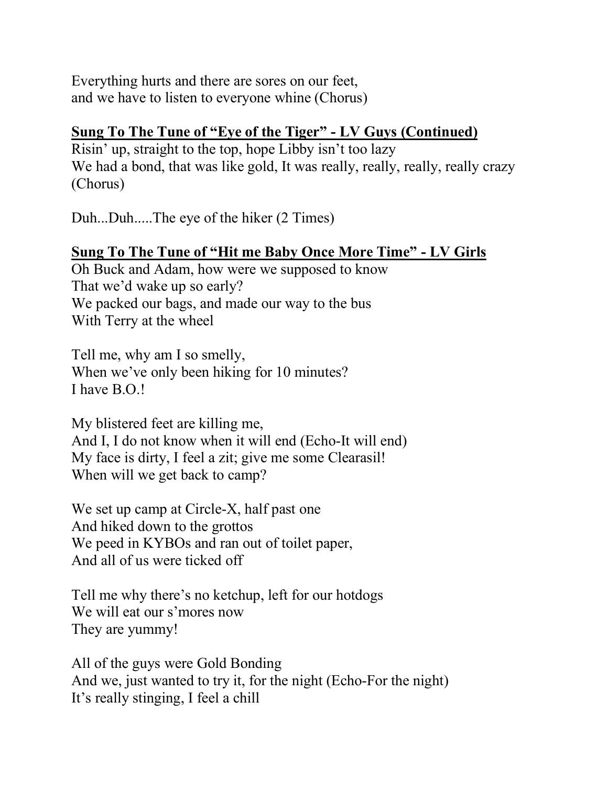Everything hurts and there are sores on our feet, and we have to listen to everyone whine (Chorus)

# **Sung To The Tune of "Eye of the Tiger" - LV Guys (Continued)**

Risin' up, straight to the top, hope Libby isn't too lazy We had a bond, that was like gold, It was really, really, really, really crazy (Chorus)

Duh...Duh.....The eye of the hiker (2 Times)

#### **Sung To The Tune of "Hit me Baby Once More Time" - LV Girls**

Oh Buck and Adam, how were we supposed to know That we'd wake up so early? We packed our bags, and made our way to the bus With Terry at the wheel

Tell me, why am I so smelly, When we've only been hiking for 10 minutes? I have B.O.!

My blistered feet are killing me, And I, I do not know when it will end (Echo-It will end) My face is dirty, I feel a zit; give me some Clearasil! When will we get back to camp?

We set up camp at Circle-X, half past one And hiked down to the grottos We peed in KYBOs and ran out of toilet paper, And all of us were ticked off

Tell me why there's no ketchup, left for our hotdogs We will eat our s'mores now They are yummy!

All of the guys were Gold Bonding And we, just wanted to try it, for the night (Echo-For the night) It's really stinging, I feel a chill